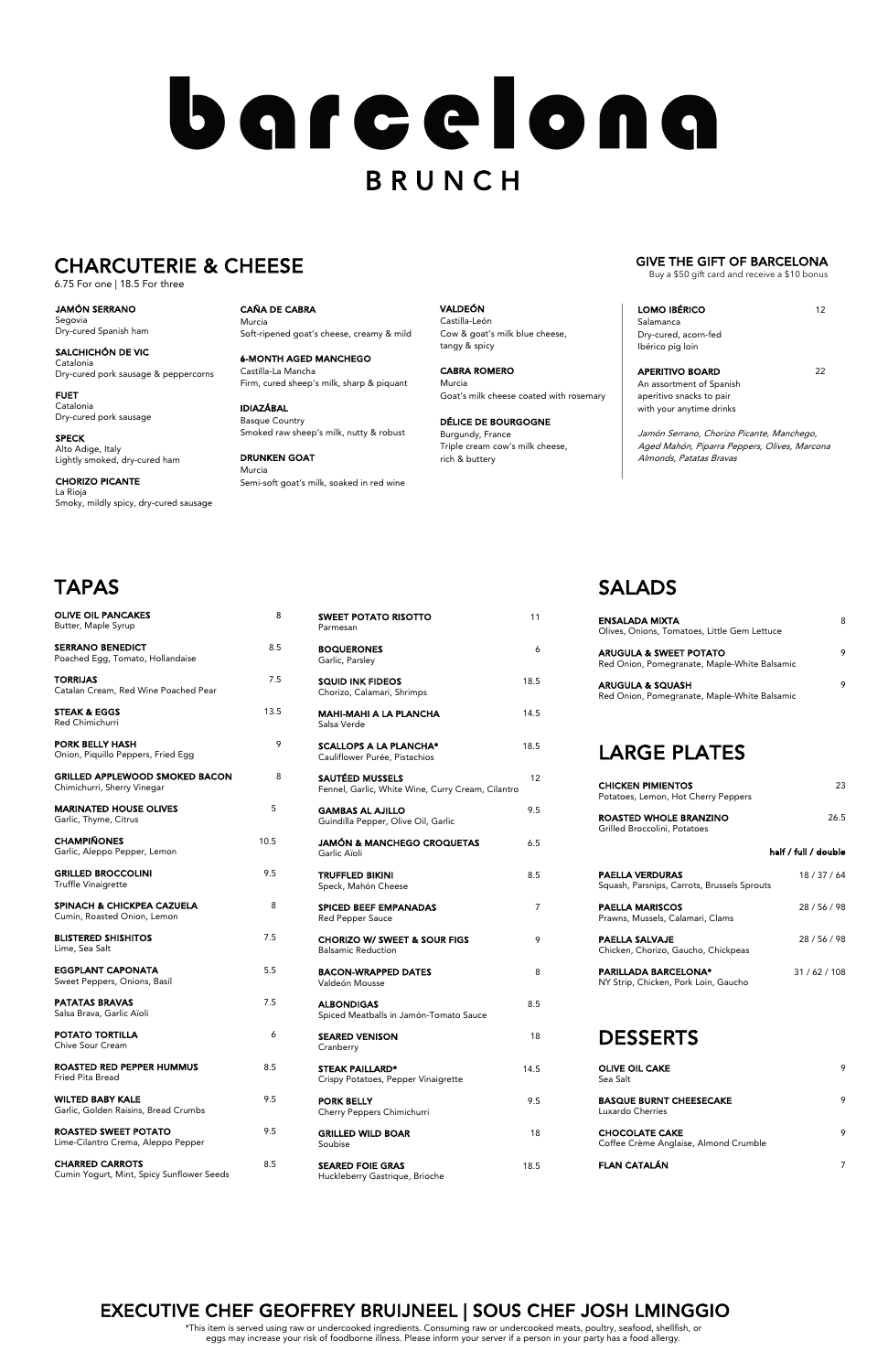SEARED FOIE GRAS 18.5 Huckleberry Gastrique, Brioche

Spiced Meatballs in Jamón-Tomato Sauce

| <b>SEARED VENISON</b><br>Cranberry                            | 18   |
|---------------------------------------------------------------|------|
| <b>STEAK PAILLARD*</b><br>Crispy Potatoes, Pepper Vinaigrette | 14.5 |
| <b>PORK BELLY</b><br>Cherry Peppers Chimichurri               | 9.5  |
| <b>GRILLED WILD BOAR</b><br>Soubise                           | 18   |

| <b>OLIVE OIL PANCAKES</b><br>Butter, Maple Syrup                     | 8    | <b>SWEET POTATO RISOTTO</b><br>Parmesan                              | 11             |
|----------------------------------------------------------------------|------|----------------------------------------------------------------------|----------------|
| <b>SERRANO BENEDICT</b><br>Poached Egg, Tomato, Hollandaise          | 8.5  | <b>BOQUERONES</b><br>Garlic, Parsley                                 | 6              |
| <b>TORRIJAS</b><br>Catalan Cream, Red Wine Poached Pear              | 7.5  | <b>SQUID INK FIDEOS</b><br>Chorizo, Calamari, Shrimps                | 18.5           |
| <b>STEAK &amp; EGGS</b><br>Red Chimichurri                           | 13.5 | <b>MAHI-MAHI A LA PLANCHA</b><br>Salsa Verde                         | 14.5           |
| <b>PORK BELLY HASH</b><br>Onion, Piquillo Peppers, Fried Egg         | 9    | <b>SCALLOPS A LA PLANCHA*</b><br>Cauliflower Purée, Pistachios       | 18.5           |
| <b>GRILLED APPLEWOOD SMOKED BACON</b><br>Chimichurri, Sherry Vinegar | 8    | SAUTÉED MUSSELS<br>Fennel, Garlic, White Wine, Curry Cream, Cilantro | 12             |
| <b>MARINATED HOUSE OLIVES</b><br>Garlic, Thyme, Citrus               | 5    | <b>GAMBAS AL AJILLO</b><br>Guindilla Pepper, Olive Oil, Garlic       | 9.5            |
| <b>CHAMPIÑONES</b><br>Garlic, Aleppo Pepper, Lemon                   | 10.5 | <b>JAMÓN &amp; MANCHEGO CROQUETAS</b><br>Garlic Aïoli                | 6.5            |
| <b>GRILLED BROCCOLINI</b><br><b>Truffle Vinaigrette</b>              | 9.5  | <b>TRUFFLED BIKINI</b><br>Speck, Mahón Cheese                        | 8.5            |
| SPINACH & CHICKPEA CAZUELA<br>Cumin, Roasted Onion, Lemon            | 8    | <b>SPICED BEEF EMPANADAS</b><br><b>Red Pepper Sauce</b>              | $\overline{7}$ |
| <b>BLISTERED SHISHITOS</b><br>Lime, Sea Salt                         | 7.5  | <b>CHORIZO W/ SWEET &amp; SOUR FIGS</b><br><b>Balsamic Reduction</b> | 9              |
| <b>EGGPLANT CAPONATA</b><br>Sweet Peppers, Onions, Basil             | 5.5  | <b>BACON-WRAPPED DATES</b><br>Valdeón Mousse                         | 8              |
| <b>PATATAS BRAVAS</b><br>Calca Prava, Garlie Aïeli                   | 7.5  | <b>ALBONDIGAS</b>                                                    | 8.5            |

## TAPAS

Salsa Brava, Garlic Aïoli

| <b>POTATO TORTILLA</b><br>Chive Sour Cream                          | 6   |
|---------------------------------------------------------------------|-----|
| ROASTED RED PEPPER HUMMUS<br>Fried Pita Bread                       | 8.5 |
| <b>WILTED BABY KALE</b><br>Garlic, Golden Raisins, Bread Crumbs     | 9.5 |
| ROASTED SWEET POTATO<br>Lime-Cilantro Crema, Aleppo Pepper          | 9.5 |
| <b>CHARRED CARROTS</b><br>Cumin Yogurt, Mint, Spicy Sunflower Seeds | 8.5 |

APERITIVO BOARD 22 An assortment of Spanish aperitivo snacks to pair with your anytime drinks

### SALADS

| <b>ENSALADA MIXTA</b><br>Olives, Onions, Tomatoes, Little Gem Lettuce             | 8 |
|-----------------------------------------------------------------------------------|---|
| <b>ARUGULA &amp; SWEET POTATO</b><br>Red Onion, Pomegranate, Maple-White Balsamic | 9 |
| <b>ARUGULA &amp; SQUASH</b><br>Red Onion, Pomegranate, Maple-White Balsamic       | 9 |
| <b>LARGE PLATES</b>                                                               |   |

| <b>CHICKEN PIMIENTOS</b><br>Potatoes, Lemon, Hot Cherry Peppers       | 23                   |
|-----------------------------------------------------------------------|----------------------|
| ROASTED WHOLE BRANZINO<br>Grilled Broccolini, Potatoes                | 26.5                 |
|                                                                       | half / full / double |
| <b>PAELLA VERDURAS</b><br>Squash, Parsnips, Carrots, Brussels Sprouts | 18 / 37 / 64         |
| <b>PAELLA MARISCOS</b><br>Prawns, Mussels, Calamari, Clams            | 28 / 56 / 98         |
| PAELLA SALVAJE<br>Chicken, Chorizo, Gaucho, Chickpeas                 | 28 / 56 / 98         |
| <b>PARILLADA BARCELONA*</b><br>NY Strip, Chicken, Pork Loin, Gaucho   | 31/62/108            |

#### DESSERTS

| <b>OLIVE OIL CAKE</b><br>Sea Salt                              | 9 |
|----------------------------------------------------------------|---|
| <b>BASQUE BURNT CHEESECAKE</b><br>Luxardo Cherries             | 9 |
| <b>CHOCOLATE CAKE</b><br>Coffee Crème Anglaise, Almond Crumble | 9 |
| <b>FLAN CATALÁN</b>                                            |   |

CAÑA DE CABRA Murcia Soft-ripened goat's cheese, creamy & mild

6-MONTH AGED MANCHEGO Castilla-La Mancha Firm, cured sheep's milk, sharp & piquant

IDIAZÁBAL Basque Country Smoked raw sheep's milk, nutty & robust

DRUNKEN GOAT Murcia Semi-soft goat's milk, soaked in red wine VALDEÓN Castilla-León Cow & goat's milk blue cheese, tangy & spicy

CABRA ROMERO Murcia Goat's milk cheese coated with rosemary

DÉLICE DE BOURGOGNE Burgundy, France Triple cream cow's milk cheese, rich & buttery

| <b>LOMO IBÉRICO</b>  | 12 |
|----------------------|----|
| Salamanca            |    |
| Dry-cured, acorn-fed |    |
| Ibérico pig loin     |    |

Jamón Serrano, Chorizo Picante, Manchego, Aged Mahón, Piparra Peppers, Olives, Marcona Almonds, Patatas Bravas

JAMÓN SERRANO Segovia Dry-cured Spanish ham

SALCHICHÓN DE VIC Catalonia Dry-cured pork sausage & peppercorns

FUET Catalonia Dry-cured pork sausage

SPECK Alto Adige, Italy Lightly smoked, dry-cured ham

CHORIZO PICANTE La Rioja Smoky, mildly spicy, dry-cured sausage

# barcelona **BRUNCH**

### CHARCUTERIE & CHEESE

6.75 For one | 18.5 For three

#### EXECUTIVE CHEF GEOFFREY BRUIJNEEL | SOUS CHEF JOSH LMINGGIO

\*This item is served using raw or undercooked ingredients. Consuming raw or undercooked meats, poultry, seafood, shellfish, or eggs may increase your risk of foodborne illness. Please inform your server if a person in your party has a food allergy.

#### GIVE THE GIFT OF BARCELONA

Buy a \$50 gift card and receive a \$10 bonus